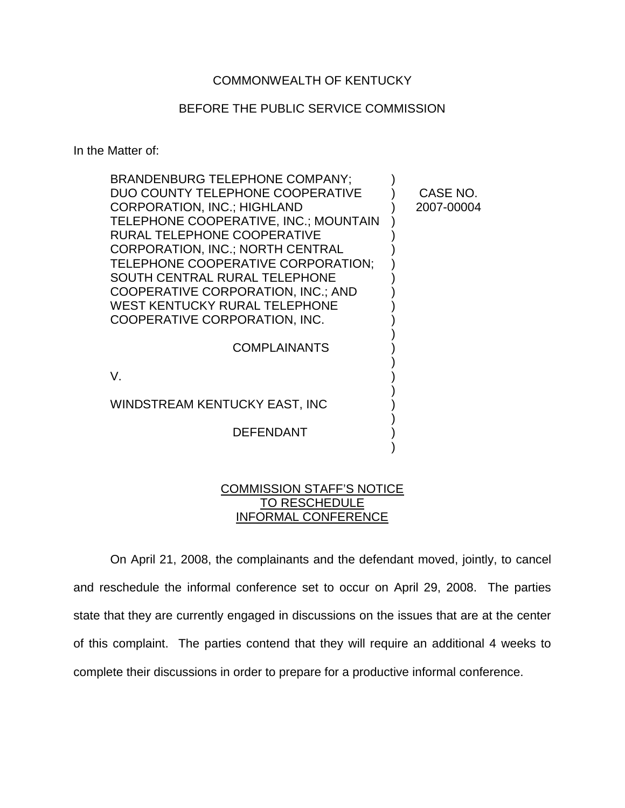## COMMONWEALTH OF KENTUCKY

## BEFORE THE PUBLIC SERVICE COMMISSION

In the Matter of:

| BRANDENBURG TELEPHONE COMPANY;          |            |
|-----------------------------------------|------------|
| DUO COUNTY TELEPHONE COOPERATIVE        | CASE NO.   |
| <b>CORPORATION, INC.; HIGHLAND</b>      | 2007-00004 |
| TELEPHONE COOPERATIVE, INC.; MOUNTAIN   |            |
| RURAL TELEPHONE COOPERATIVE             |            |
| <b>CORPORATION, INC.; NORTH CENTRAL</b> |            |
| TELEPHONE COOPERATIVE CORPORATION;      |            |
| SOUTH CENTRAL RURAL TELEPHONE           |            |
| COOPERATIVE CORPORATION, INC.; AND      |            |
| WEST KENTUCKY RURAL TELEPHONE           |            |
| COOPERATIVE CORPORATION, INC.           |            |
|                                         |            |
| <b>COMPLAINANTS</b>                     |            |
|                                         |            |
| V.                                      |            |
| WINDSTREAM KENTUCKY EAST, INC           |            |
|                                         |            |
| <b>DEFENDANT</b>                        |            |
|                                         |            |
|                                         |            |

## COMMISSION STAFF'S NOTICE TO RESCHEDULE INFORMAL CONFERENCE

On April 21, 2008, the complainants and the defendant moved, jointly, to cancel and reschedule the informal conference set to occur on April 29, 2008. The parties state that they are currently engaged in discussions on the issues that are at the center of this complaint. The parties contend that they will require an additional 4 weeks to complete their discussions in order to prepare for a productive informal conference.